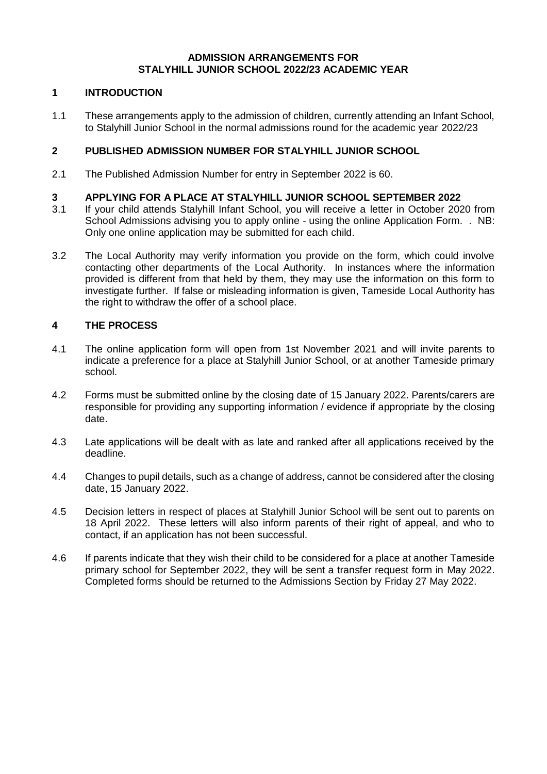### **ADMISSION ARRANGEMENTS FOR STALYHILL JUNIOR SCHOOL 2022/23 ACADEMIC YEAR**

## **1 INTRODUCTION**

1.1 These arrangements apply to the admission of children, currently attending an Infant School, to Stalyhill Junior School in the normal admissions round for the academic year 2022/23

## **2 PUBLISHED ADMISSION NUMBER FOR STALYHILL JUNIOR SCHOOL**

2.1 The Published Admission Number for entry in September 2022 is 60.

## **3 APPLYING FOR A PLACE AT STALYHILL JUNIOR SCHOOL SEPTEMBER 2022**

- 3.1 If your child attends Stalyhill Infant School, you will receive a letter in October 2020 from School Admissions advising you to apply online - using the online Application Form. . NB: Only one online application may be submitted for each child.
- 3.2 The Local Authority may verify information you provide on the form, which could involve contacting other departments of the Local Authority. In instances where the information provided is different from that held by them, they may use the information on this form to investigate further. If false or misleading information is given, Tameside Local Authority has the right to withdraw the offer of a school place.

### **4 THE PROCESS**

- 4.1 The online application form will open from 1st November 2021 and will invite parents to indicate a preference for a place at Stalyhill Junior School, or at another Tameside primary school.
- 4.2 Forms must be submitted online by the closing date of 15 January 2022. Parents/carers are responsible for providing any supporting information / evidence if appropriate by the closing date.
- 4.3 Late applications will be dealt with as late and ranked after all applications received by the deadline.
- 4.4 Changes to pupil details, such as a change of address, cannot be considered after the closing date, 15 January 2022.
- 4.5 Decision letters in respect of places at Stalyhill Junior School will be sent out to parents on 18 April 2022. These letters will also inform parents of their right of appeal, and who to contact, if an application has not been successful.
- 4.6 If parents indicate that they wish their child to be considered for a place at another Tameside primary school for September 2022, they will be sent a transfer request form in May 2022. Completed forms should be returned to the Admissions Section by Friday 27 May 2022.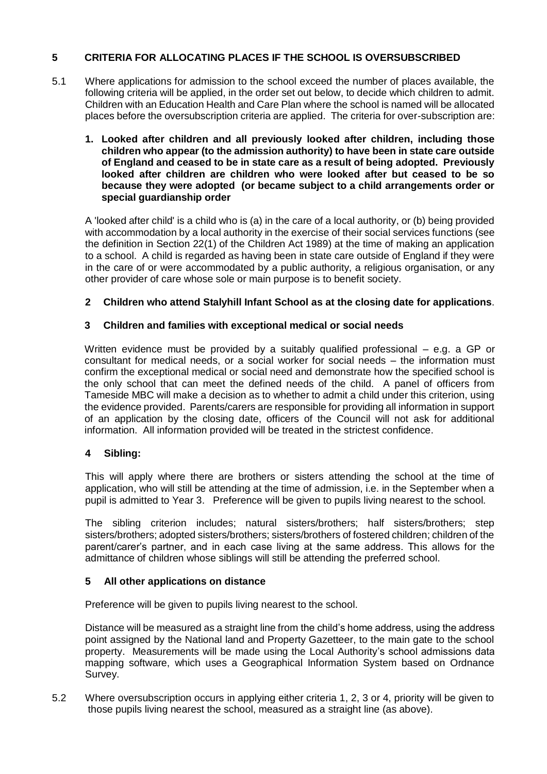# **5 CRITERIA FOR ALLOCATING PLACES IF THE SCHOOL IS OVERSUBSCRIBED**

- 5.1 Where applications for admission to the school exceed the number of places available, the following criteria will be applied, in the order set out below, to decide which children to admit. Children with an Education Health and Care Plan where the school is named will be allocated places before the oversubscription criteria are applied. The criteria for over-subscription are:
	- **1. Looked after children and all previously looked after children, including those children who appear (to the admission authority) to have been in state care outside of England and ceased to be in state care as a result of being adopted. Previously looked after children are children who were looked after but ceased to be so because they were adopted (or became subject to a child arrangements order or special guardianship order**

A 'looked after child' is a child who is (a) in the care of a local authority, or (b) being provided with accommodation by a local authority in the exercise of their social services functions (see the definition in Section 22(1) of the Children Act 1989) at the time of making an application to a school. A child is regarded as having been in state care outside of England if they were in the care of or were accommodated by a public authority, a religious organisation, or any other provider of care whose sole or main purpose is to benefit society.

## **2 Children who attend Stalyhill Infant School as at the closing date for applications**.

## **3 Children and families with exceptional medical or social needs**

Written evidence must be provided by a suitably qualified professional – e.g. a GP or consultant for medical needs, or a social worker for social needs – the information must confirm the exceptional medical or social need and demonstrate how the specified school is the only school that can meet the defined needs of the child. A panel of officers from Tameside MBC will make a decision as to whether to admit a child under this criterion, using the evidence provided. Parents/carers are responsible for providing all information in support of an application by the closing date, officers of the Council will not ask for additional information. All information provided will be treated in the strictest confidence.

### **4 Sibling:**

This will apply where there are brothers or sisters attending the school at the time of application, who will still be attending at the time of admission, i.e. in the September when a pupil is admitted to Year 3. Preference will be given to pupils living nearest to the school.

The sibling criterion includes; natural sisters/brothers; half sisters/brothers; step sisters/brothers; adopted sisters/brothers; sisters/brothers of fostered children; children of the parent/carer's partner, and in each case living at the same address. This allows for the admittance of children whose siblings will still be attending the preferred school.

### **5 All other applications on distance**

Preference will be given to pupils living nearest to the school.

Distance will be measured as a straight line from the child's home address, using the address point assigned by the National land and Property Gazetteer, to the main gate to the school property. Measurements will be made using the Local Authority's school admissions data mapping software, which uses a Geographical Information System based on Ordnance Survey.

5.2 Where oversubscription occurs in applying either criteria 1, 2, 3 or 4, priority will be given to those pupils living nearest the school, measured as a straight line (as above).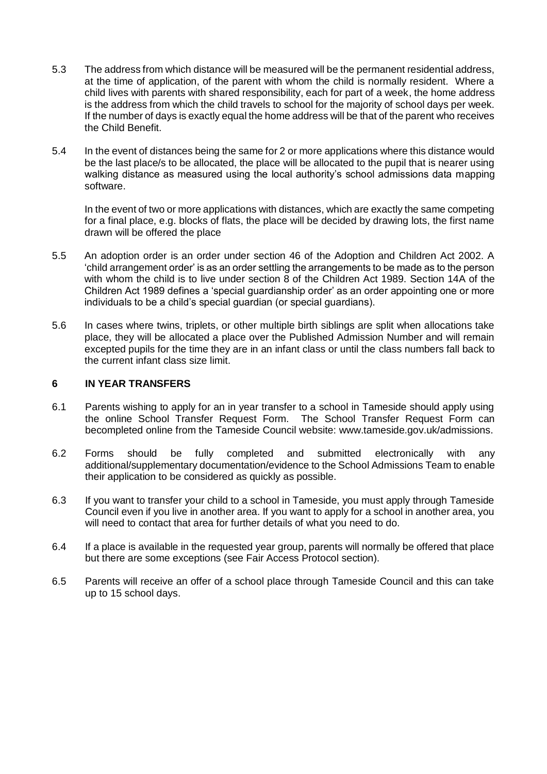- 5.3 The address from which distance will be measured will be the permanent residential address, at the time of application, of the parent with whom the child is normally resident. Where a child lives with parents with shared responsibility, each for part of a week, the home address is the address from which the child travels to school for the majority of school days per week. If the number of days is exactly equal the home address will be that of the parent who receives the Child Benefit.
- 5.4 In the event of distances being the same for 2 or more applications where this distance would be the last place/s to be allocated, the place will be allocated to the pupil that is nearer using walking distance as measured using the local authority's school admissions data mapping software.

In the event of two or more applications with distances, which are exactly the same competing for a final place, e.g. blocks of flats, the place will be decided by drawing lots, the first name drawn will be offered the place

- 5.5 An adoption order is an order under section 46 of the Adoption and Children Act 2002. A 'child arrangement order' is as an order settling the arrangements to be made as to the person with whom the child is to live under section 8 of the Children Act 1989. Section 14A of the Children Act 1989 defines a 'special guardianship order' as an order appointing one or more individuals to be a child's special guardian (or special guardians).
- 5.6 In cases where twins, triplets, or other multiple birth siblings are split when allocations take place, they will be allocated a place over the Published Admission Number and will remain excepted pupils for the time they are in an infant class or until the class numbers fall back to the current infant class size limit.

#### **6 IN YEAR TRANSFERS**

- 6.1 Parents wishing to apply for an in year transfer to a school in Tameside should apply using the online School Transfer Request Form. The School Transfer Request Form can becompleted online from the Tameside Council website: www.tameside.gov.uk/admissions.
- 6.2 Forms should be fully completed and submitted electronically with any additional/supplementary documentation/evidence to the School Admissions Team to enable their application to be considered as quickly as possible.
- 6.3 If you want to transfer your child to a school in Tameside, you must apply through Tameside Council even if you live in another area. If you want to apply for a school in another area, you will need to contact that area for further details of what you need to do.
- 6.4 If a place is available in the requested year group, parents will normally be offered that place but there are some exceptions (see Fair Access Protocol section).
- 6.5 Parents will receive an offer of a school place through Tameside Council and this can take up to 15 school days.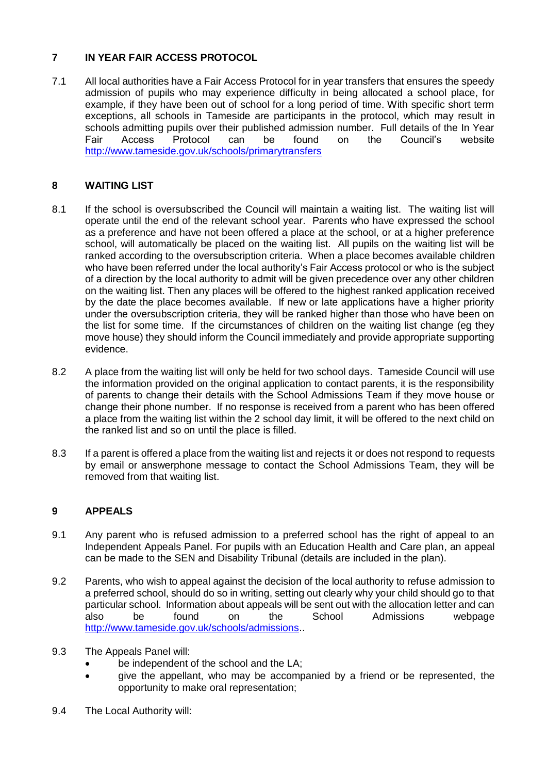# **7 IN YEAR FAIR ACCESS PROTOCOL**

7.1 All local authorities have a Fair Access Protocol for in year transfers that ensures the speedy admission of pupils who may experience difficulty in being allocated a school place, for example, if they have been out of school for a long period of time. With specific short term exceptions, all schools in Tameside are participants in the protocol, which may result in schools admitting pupils over their published admission number. Full details of the In Year Fair Access Protocol can be found on the Council's website <http://www.tameside.gov.uk/schools/primarytransfers>

# **8 WAITING LIST**

- 8.1 If the school is oversubscribed the Council will maintain a waiting list. The waiting list will operate until the end of the relevant school year. Parents who have expressed the school as a preference and have not been offered a place at the school, or at a higher preference school, will automatically be placed on the waiting list. All pupils on the waiting list will be ranked according to the oversubscription criteria. When a place becomes available children who have been referred under the local authority's Fair Access protocol or who is the subject of a direction by the local authority to admit will be given precedence over any other children on the waiting list. Then any places will be offered to the highest ranked application received by the date the place becomes available. If new or late applications have a higher priority under the oversubscription criteria, they will be ranked higher than those who have been on the list for some time. If the circumstances of children on the waiting list change (eg they move house) they should inform the Council immediately and provide appropriate supporting evidence.
- 8.2 A place from the waiting list will only be held for two school days. Tameside Council will use the information provided on the original application to contact parents, it is the responsibility of parents to change their details with the School Admissions Team if they move house or change their phone number. If no response is received from a parent who has been offered a place from the waiting list within the 2 school day limit, it will be offered to the next child on the ranked list and so on until the place is filled.
- 8.3 If a parent is offered a place from the waiting list and rejects it or does not respond to requests by email or answerphone message to contact the School Admissions Team, they will be removed from that waiting list.

## **9 APPEALS**

- 9.1 Any parent who is refused admission to a preferred school has the right of appeal to an Independent Appeals Panel. For pupils with an Education Health and Care plan, an appeal can be made to the SEN and Disability Tribunal (details are included in the plan).
- 9.2 Parents, who wish to appeal against the decision of the local authority to refuse admission to a preferred school, should do so in writing, setting out clearly why your child should go to that particular school. Information about appeals will be sent out with the allocation letter and can also be found on the School Admissions webpage [http://www.tameside.gov.uk/schools/admissions.](http://www.tameside.gov.uk/schools/admissions).
- 9.3 The Appeals Panel will:
	- be independent of the school and the LA;
	- give the appellant, who may be accompanied by a friend or be represented, the opportunity to make oral representation;
- 9.4 The Local Authority will: